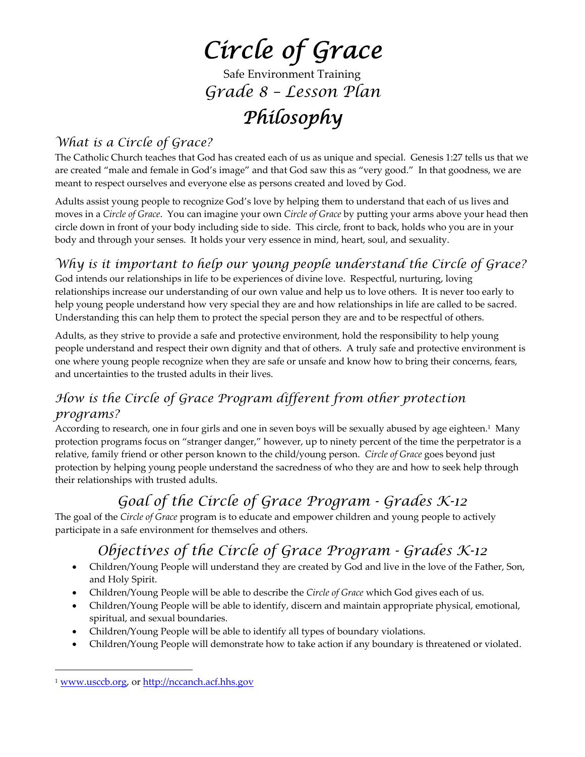# *Circle of Grace*

Safe Environment Training *Grade 8 – Lesson Plan*

## *Philosophy*

## *What is a Circle of Grace?*

The Catholic Church teaches that God has created each of us as unique and special. Genesis 1:27 tells us that we are created "male and female in God's image" and that God saw this as "very good." In that goodness, we are meant to respect ourselves and everyone else as persons created and loved by God.

Adults assist young people to recognize God's love by helping them to understand that each of us lives and moves in a *Circle of Grace*. You can imagine your own *Circle of Grace* by putting your arms above your head then circle down in front of your body including side to side. This circle, front to back, holds who you are in your body and through your senses. It holds your very essence in mind, heart, soul, and sexuality.

## *Why is it important to help our young people understand the Circle of Grace?*

God intends our relationships in life to be experiences of divine love. Respectful, nurturing, loving relationships increase our understanding of our own value and help us to love others. It is never too early to help young people understand how very special they are and how relationships in life are called to be sacred. Understanding this can help them to protect the special person they are and to be respectful of others.

Adults, as they strive to provide a safe and protective environment, hold the responsibility to help young people understand and respect their own dignity and that of others. A truly safe and protective environment is one where young people recognize when they are safe or unsafe and know how to bring their concerns, fears, and uncertainties to the trusted adults in their lives.

## *How is the Circle of Grace Program different from other protection programs?*

According to research, one in four girls and one in seven boys will be sexually abused by age eighteen.1 Many protection programs focus on "stranger danger," however, up to ninety percent of the time the perpetrator is a relative, family friend or other person known to the child/young person. *Circle of Grace* goes beyond just protection by helping young people understand the sacredness of who they are and how to seek help through their relationships with trusted adults.

## *Goal of the Circle of Grace Program - Grades K-12*

The goal of the *Circle of Grace* program is to educate and empower children and young people to actively participate in a safe environment for themselves and others.

## *Objectives of the Circle of Grace Program - Grades K-12*

- Children/Young People will understand they are created by God and live in the love of the Father, Son, and Holy Spirit.
- Children/Young People will be able to describe the *Circle of Grace* which God gives each of us.
- Children/Young People will be able to identify, discern and maintain appropriate physical, emotional, spiritual, and sexual boundaries.
- Children/Young People will be able to identify all types of boundary violations.
- Children/Young People will demonstrate how to take action if any boundary is threatened or violated.

 $\overline{a}$ 

<sup>1</sup> www.usccb.org, or http://nccanch.acf.hhs.gov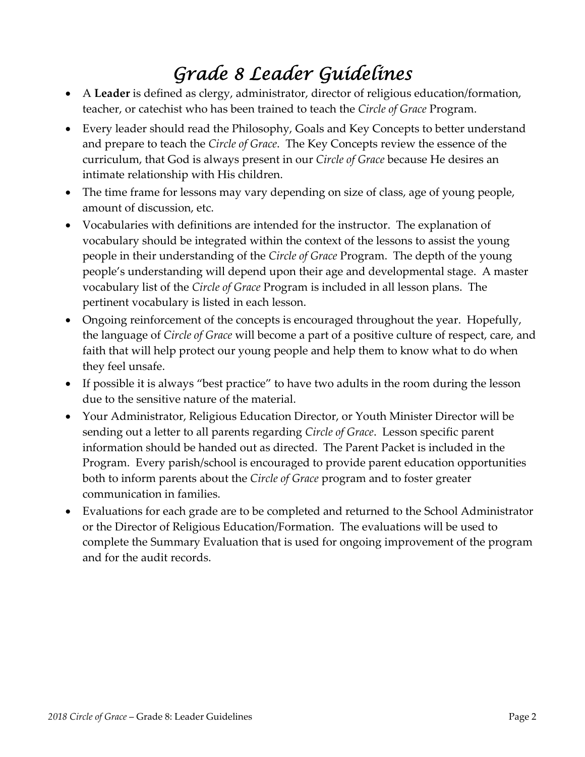## *Grade 8 Leader Guidelines*

- A **Leader** is defined as clergy, administrator, director of religious education/formation, teacher, or catechist who has been trained to teach the *Circle of Grace* Program.
- Every leader should read the Philosophy, Goals and Key Concepts to better understand and prepare to teach the *Circle of Grace*. The Key Concepts review the essence of the curriculum, that God is always present in our *Circle of Grace* because He desires an intimate relationship with His children.
- The time frame for lessons may vary depending on size of class, age of young people, amount of discussion, etc.
- Vocabularies with definitions are intended for the instructor. The explanation of vocabulary should be integrated within the context of the lessons to assist the young people in their understanding of the *Circle of Grace* Program. The depth of the young people's understanding will depend upon their age and developmental stage. A master vocabulary list of the *Circle of Grace* Program is included in all lesson plans. The pertinent vocabulary is listed in each lesson.
- Ongoing reinforcement of the concepts is encouraged throughout the year. Hopefully, the language of *Circle of Grace* will become a part of a positive culture of respect, care, and faith that will help protect our young people and help them to know what to do when they feel unsafe.
- If possible it is always "best practice" to have two adults in the room during the lesson due to the sensitive nature of the material.
- Your Administrator, Religious Education Director, or Youth Minister Director will be sending out a letter to all parents regarding *Circle of Grace*. Lesson specific parent information should be handed out as directed. The Parent Packet is included in the Program. Every parish/school is encouraged to provide parent education opportunities both to inform parents about the *Circle of Grace* program and to foster greater communication in families.
- Evaluations for each grade are to be completed and returned to the School Administrator or the Director of Religious Education/Formation. The evaluations will be used to complete the Summary Evaluation that is used for ongoing improvement of the program and for the audit records.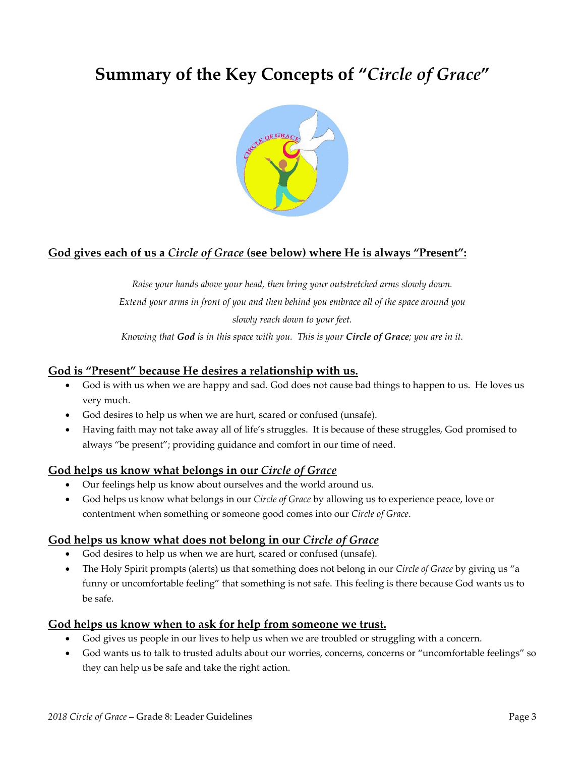## **Summary of the Key Concepts of "***Circle of Grace***"**



#### **God gives each of us a** *Circle of Grace* **(see below) where He is always "Present":**

*Raise your hands above your head, then bring your outstretched arms slowly down. Extend your arms in front of you and then behind you embrace all of the space around you slowly reach down to your feet.*

Knowing that God is in this space with you. This is your Circle of Grace; you are in it.

#### **God is "Present" because He desires a relationship with us.**

- God is with us when we are happy and sad. God does not cause bad things to happen to us. He loves us very much.
- God desires to help us when we are hurt, scared or confused (unsafe).
- Having faith may not take away all of life's struggles. It is because of these struggles, God promised to always "be present"; providing guidance and comfort in our time of need.

#### **God helps us know what belongs in our** *Circle of Grace*

- Our feelings help us know about ourselves and the world around us.
- God helps us know what belongs in our *Circle of Grace* by allowing us to experience peace, love or contentment when something or someone good comes into our *Circle of Grace*.

#### **God helps us know what does not belong in our** *Circle of Grace*

- God desires to help us when we are hurt, scared or confused (unsafe).
- The Holy Spirit prompts (alerts) us that something does not belong in our *Circle of Grace* by giving us "a funny or uncomfortable feeling" that something is not safe. This feeling is there because God wants us to be safe.

#### **God helps us know when to ask for help from someone we trust.**

- God gives us people in our lives to help us when we are troubled or struggling with a concern.
- God wants us to talk to trusted adults about our worries, concerns, concerns or "uncomfortable feelings" so they can help us be safe and take the right action.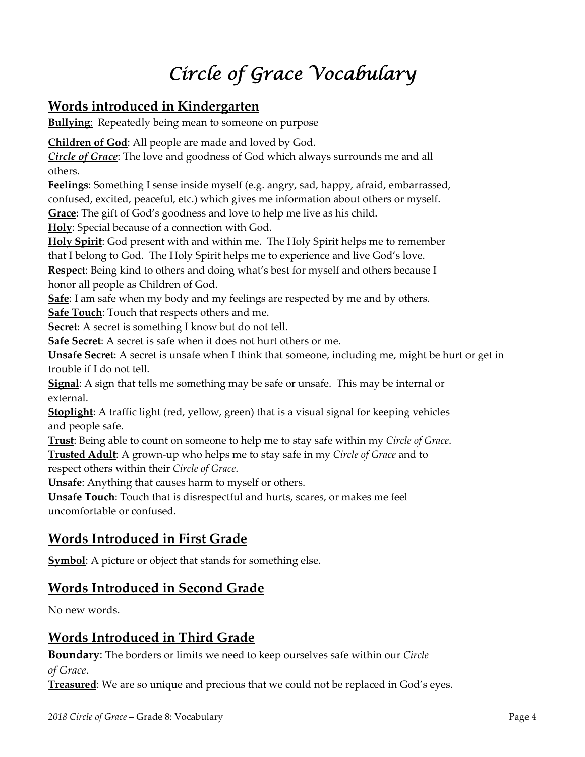## *Circle of Grace Vocabulary*

## **Words introduced in Kindergarten**

**Bullying:** Repeatedly being mean to someone on purpose

**Children of God**: All people are made and loved by God.

*Circle of Grace*: The love and goodness of God which always surrounds me and all others.

**Feelings**: Something I sense inside myself (e.g. angry, sad, happy, afraid, embarrassed, confused, excited, peaceful, etc.) which gives me information about others or myself.

**Grace**: The gift of God's goodness and love to help me live as his child.

**Holy**: Special because of a connection with God.

**Holy Spirit**: God present with and within me. The Holy Spirit helps me to remember that I belong to God. The Holy Spirit helps me to experience and live God's love.

**Respect**: Being kind to others and doing what's best for myself and others because I honor all people as Children of God.

**Safe**: I am safe when my body and my feelings are respected by me and by others.

**Safe Touch**: Touch that respects others and me.

**Secret**: A secret is something I know but do not tell.

**Safe Secret**: A secret is safe when it does not hurt others or me.

**Unsafe Secret**: A secret is unsafe when I think that someone, including me, might be hurt or get in trouble if I do not tell.

**Signal**: A sign that tells me something may be safe or unsafe. This may be internal or external.

**Stoplight**: A traffic light (red, yellow, green) that is a visual signal for keeping vehicles and people safe.

**Trust**: Being able to count on someone to help me to stay safe within my *Circle of Grace*. **Trusted Adult**: A grown‐up who helps me to stay safe in my *Circle of Grace* and to respect others within their *Circle of Grace*.

**Unsafe**: Anything that causes harm to myself or others.

**Unsafe Touch**: Touch that is disrespectful and hurts, scares, or makes me feel uncomfortable or confused.

## **Words Introduced in First Grade**

**Symbol**: A picture or object that stands for something else.

### **Words Introduced in Second Grade**

No new words.

## **Words Introduced in Third Grade**

**Boundary**: The borders or limits we need to keep ourselves safe within our *Circle of Grace*.

**Treasured**: We are so unique and precious that we could not be replaced in God's eyes.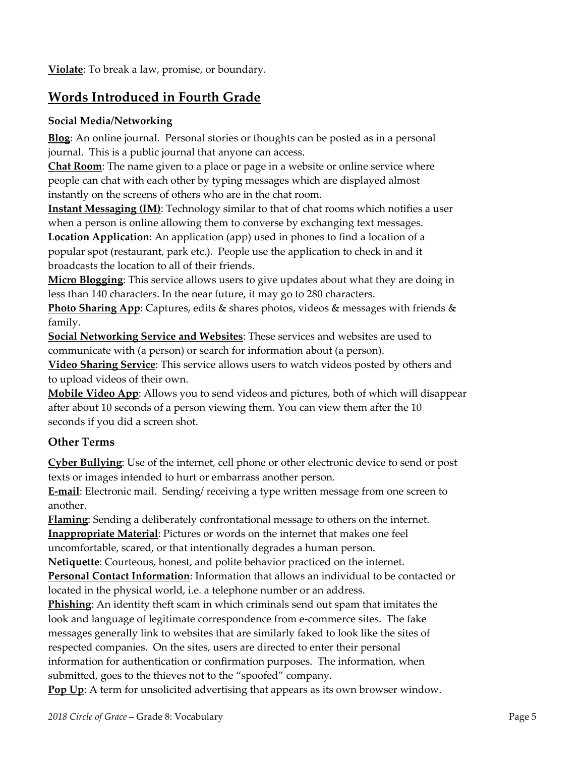**Violate**: To break a law, promise, or boundary.

## **Words Introduced in Fourth Grade**

#### **Social Media/Networking**

**Blog**: An online journal. Personal stories or thoughts can be posted as in a personal journal. This is a public journal that anyone can access.

**Chat Room**: The name given to a place or page in a website or online service where people can chat with each other by typing messages which are displayed almost instantly on the screens of others who are in the chat room.

**Instant Messaging (IM)**: Technology similar to that of chat rooms which notifies a user when a person is online allowing them to converse by exchanging text messages.

**Location Application**: An application (app) used in phones to find a location of a popular spot (restaurant, park etc.). People use the application to check in and it broadcasts the location to all of their friends.

**Micro Blogging**: This service allows users to give updates about what they are doing in less than 140 characters. In the near future, it may go to 280 characters.

**Photo Sharing App**: Captures, edits & shares photos, videos & messages with friends & family.

**Social Networking Service and Websites**: These services and websites are used to communicate with (a person) or search for information about (a person).

**Video Sharing Service**: This service allows users to watch videos posted by others and to upload videos of their own.

**Mobile Video App**: Allows you to send videos and pictures, both of which will disappear after about 10 seconds of a person viewing them. You can view them after the 10 seconds if you did a screen shot.

### **Other Terms**

**Cyber Bullying**: Use of the internet, cell phone or other electronic device to send or post texts or images intended to hurt or embarrass another person.

**E‐mail**: Electronic mail. Sending/ receiving a type written message from one screen to another.

**Flaming**: Sending a deliberately confrontational message to others on the internet. **Inappropriate Material**: Pictures or words on the internet that makes one feel uncomfortable, scared, or that intentionally degrades a human person.

**Netiquette**: Courteous, honest, and polite behavior practiced on the internet.

**Personal Contact Information**: Information that allows an individual to be contacted or located in the physical world, i.e. a telephone number or an address.

**Phishing**: An identity theft scam in which criminals send out spam that imitates the look and language of legitimate correspondence from e‐commerce sites. The fake messages generally link to websites that are similarly faked to look like the sites of respected companies. On the sites, users are directed to enter their personal information for authentication or confirmation purposes. The information, when submitted, goes to the thieves not to the "spoofed" company.

**Pop Up**: A term for unsolicited advertising that appears as its own browser window.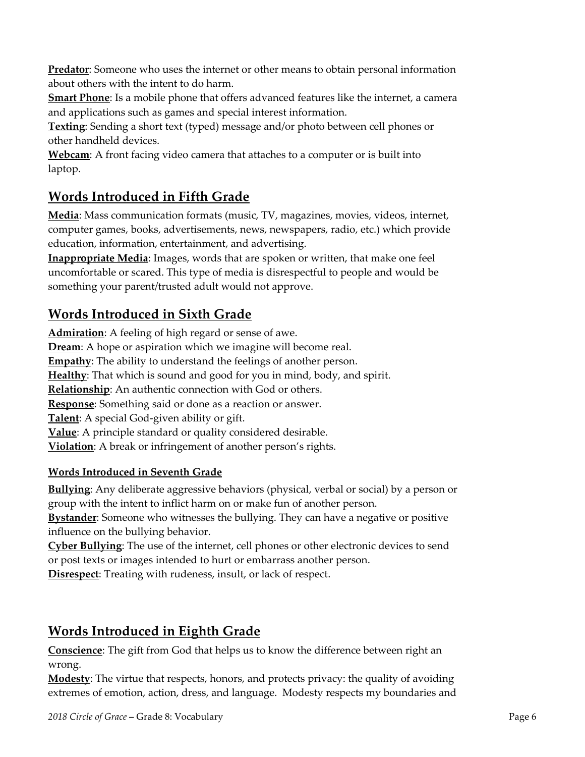**Predator**: Someone who uses the internet or other means to obtain personal information about others with the intent to do harm.

**Smart Phone**: Is a mobile phone that offers advanced features like the internet, a camera and applications such as games and special interest information.

**Texting**: Sending a short text (typed) message and/or photo between cell phones or other handheld devices.

**Webcam**: A front facing video camera that attaches to a computer or is built into laptop.

## **Words Introduced in Fifth Grade**

**Media**: Mass communication formats (music, TV, magazines, movies, videos, internet, computer games, books, advertisements, news, newspapers, radio, etc.) which provide education, information, entertainment, and advertising.

**Inappropriate Media**: Images, words that are spoken or written, that make one feel uncomfortable or scared. This type of media is disrespectful to people and would be something your parent/trusted adult would not approve.

## **Words Introduced in Sixth Grade**

**Admiration**: A feeling of high regard or sense of awe. **Dream**: A hope or aspiration which we imagine will become real. **Empathy**: The ability to understand the feelings of another person. **Healthy**: That which is sound and good for you in mind, body, and spirit. **Relationship**: An authentic connection with God or others. **Response**: Something said or done as a reaction or answer. **Talent**: A special God‐given ability or gift. **Value**: A principle standard or quality considered desirable. **Violation**: A break or infringement of another person's rights.

#### **Words Introduced in Seventh Grade**

**Bullying**: Any deliberate aggressive behaviors (physical, verbal or social) by a person or group with the intent to inflict harm on or make fun of another person.

**Bystander**: Someone who witnesses the bullying. They can have a negative or positive influence on the bullying behavior.

**Cyber Bullying**: The use of the internet, cell phones or other electronic devices to send or post texts or images intended to hurt or embarrass another person.

**Disrespect**: Treating with rudeness, insult, or lack of respect.

## **Words Introduced in Eighth Grade**

**Conscience**: The gift from God that helps us to know the difference between right an wrong.

**Modesty**: The virtue that respects, honors, and protects privacy: the quality of avoiding extremes of emotion, action, dress, and language. Modesty respects my boundaries and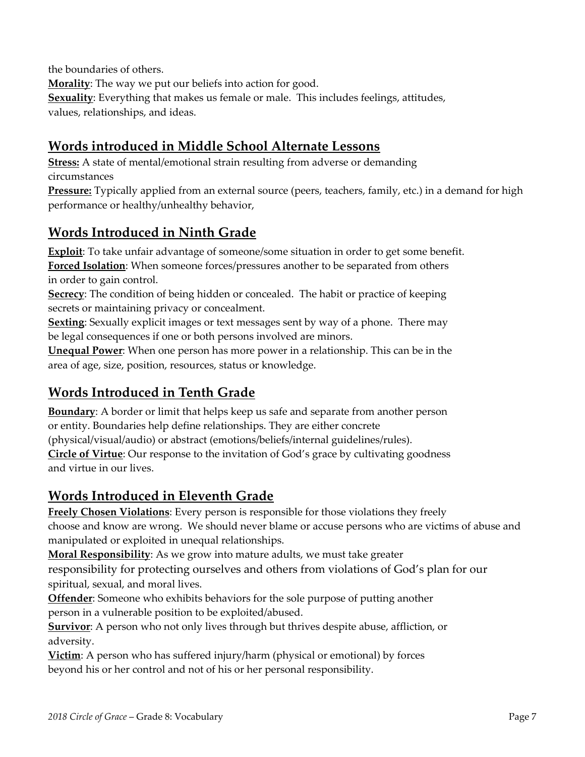the boundaries of others.

**Morality**: The way we put our beliefs into action for good. **Sexuality**: Everything that makes us female or male. This includes feelings, attitudes, values, relationships, and ideas.

## **Words introduced in Middle School Alternate Lessons**

**Stress:** A state of mental/emotional strain resulting from adverse or demanding circumstances

**Pressure:** Typically applied from an external source (peers, teachers, family, etc.) in a demand for high performance or healthy/unhealthy behavior,

## **Words Introduced in Ninth Grade**

**Exploit**: To take unfair advantage of someone/some situation in order to get some benefit. **Forced Isolation**: When someone forces/pressures another to be separated from others in order to gain control.

**Secrecy**: The condition of being hidden or concealed. The habit or practice of keeping secrets or maintaining privacy or concealment.

**Sexting**: Sexually explicit images or text messages sent by way of a phone. There may be legal consequences if one or both persons involved are minors.

**Unequal Power**: When one person has more power in a relationship. This can be in the area of age, size, position, resources, status or knowledge.

## **Words Introduced in Tenth Grade**

**Boundary**: A border or limit that helps keep us safe and separate from another person or entity. Boundaries help define relationships. They are either concrete (physical/visual/audio) or abstract (emotions/beliefs/internal guidelines/rules). **Circle of Virtue**: Our response to the invitation of God's grace by cultivating goodness and virtue in our lives.

## **Words Introduced in Eleventh Grade**

**Freely Chosen Violations**: Every person is responsible for those violations they freely choose and know are wrong. We should never blame or accuse persons who are victims of abuse and manipulated or exploited in unequal relationships.

**Moral Responsibility**: As we grow into mature adults, we must take greater

responsibility for protecting ourselves and others from violations of God's plan for our spiritual, sexual, and moral lives.

**Offender**: Someone who exhibits behaviors for the sole purpose of putting another person in a vulnerable position to be exploited/abused.

**Survivor**: A person who not only lives through but thrives despite abuse, affliction, or adversity.

**Victim**: A person who has suffered injury/harm (physical or emotional) by forces beyond his or her control and not of his or her personal responsibility.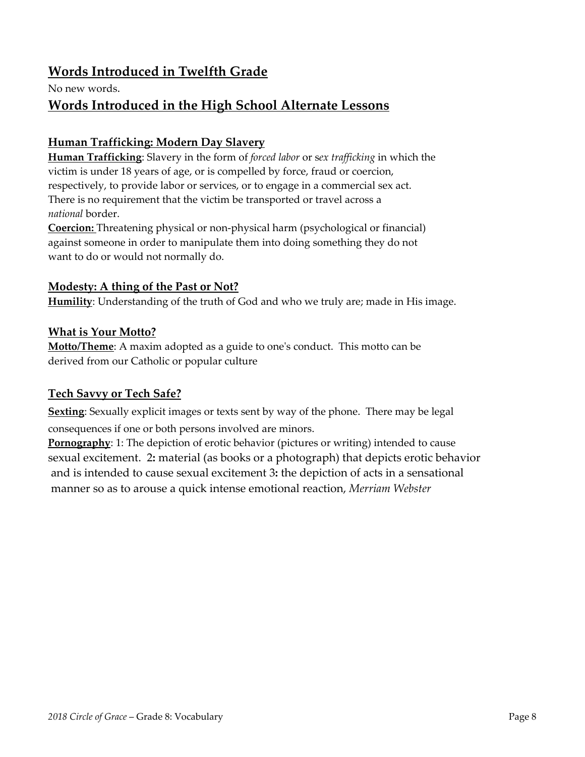## **Words Introduced in Twelfth Grade**

No new words.

## **Words Introduced in the High School Alternate Lessons**

#### **Human Trafficking: Modern Day Slavery**

**Human Trafficking**: Slavery in the form of *forced labor* or s*ex trafficking* in which the victim is under 18 years of age, or is compelled by force, fraud or coercion, respectively, to provide labor or services, or to engage in a commercial sex act. There is no requirement that the victim be transported or travel across a *national* border.

**Coercion:** Threatening physical or non‐physical harm (psychological or financial) against someone in order to manipulate them into doing something they do not want to do or would not normally do.

#### **Modesty: A thing of the Past or Not?**

**Humility**: Understanding of the truth of God and who we truly are; made in His image.

#### **What is Your Motto?**

**Motto/Theme**: A maxim adopted as a guide to oneʹs conduct. This motto can be derived from our Catholic or popular culture

#### **Tech Savvy or Tech Safe?**

**Sexting**: Sexually explicit images or texts sent by way of the phone. There may be legal consequences if one or both persons involved are minors.

**Pornography**: 1: The depiction of erotic behavior (pictures or writing) intended to cause sexual excitement. 2**:** material (as books or a photograph) that depicts erotic behavior and is intended to cause sexual excitement 3**:** the depiction of acts in a sensational manner so as to arouse a quick intense emotional reaction, *Merriam Webster*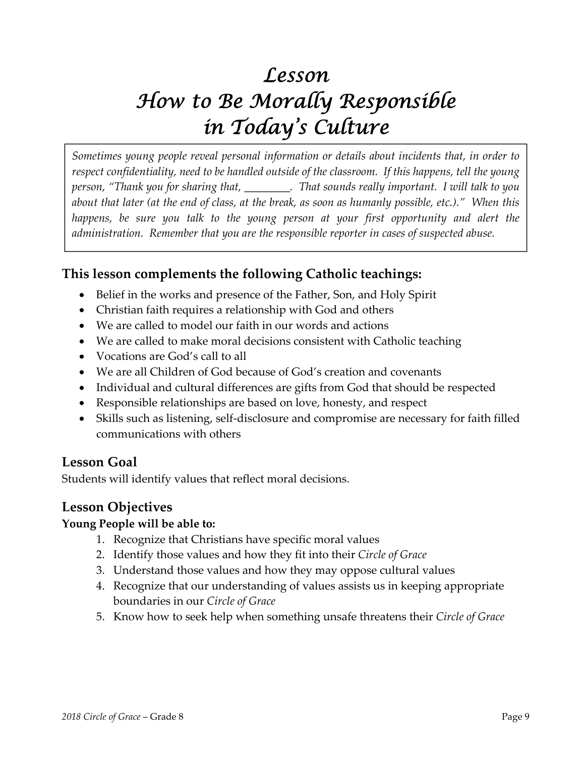## *Lesson How to Be Morally Responsible in Today's Culture*

*Sometimes young people reveal personal information or details about incidents that, in order to respect confidentiality, need to be handled outside of the classroom. If this happens, tell the young person, "Thank you for sharing that, \_\_\_\_\_\_\_\_. That sounds really important. I will talk to you* about that later (at the end of class, at the break, as soon as humanly possible, etc.)." When this *happens, be sure you talk to the young person at your first opportunity and alert the administration. Remember that you are the responsible reporter in cases of suspected abuse.*

### **This lesson complements the following Catholic teachings:**

- Belief in the works and presence of the Father, Son, and Holy Spirit
- Christian faith requires a relationship with God and others
- We are called to model our faith in our words and actions
- We are called to make moral decisions consistent with Catholic teaching
- Vocations are God's call to all
- We are all Children of God because of God's creation and covenants
- Individual and cultural differences are gifts from God that should be respected
- Responsible relationships are based on love, honesty, and respect
- Skills such as listening, self‐disclosure and compromise are necessary for faith filled communications with others

### **Lesson Goal**

Students will identify values that reflect moral decisions.

### **Lesson Objectives**

#### **Young People will be able to:**

- 1. Recognize that Christians have specific moral values
- 2. Identify those values and how they fit into their *Circle of Grace*
- 3. Understand those values and how they may oppose cultural values
- 4. Recognize that our understanding of values assists us in keeping appropriate boundaries in our *Circle of Grace*
- 5. Know how to seek help when something unsafe threatens their *Circle of Grace*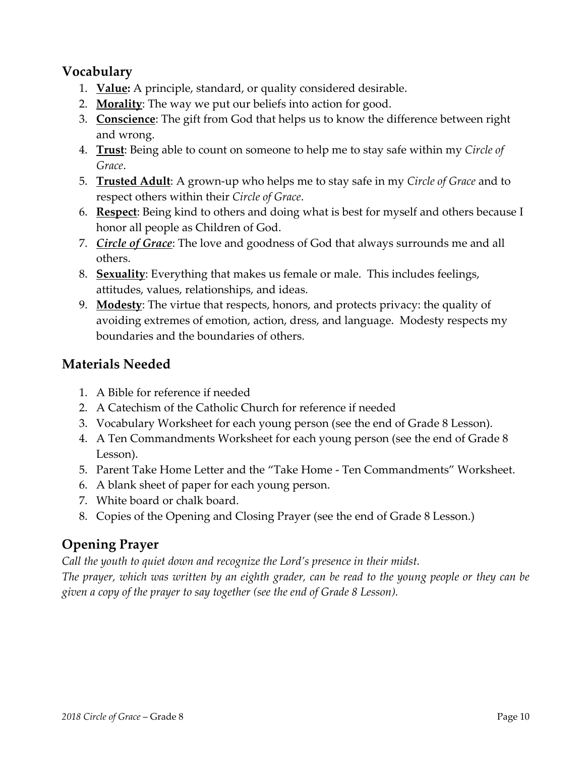## **Vocabulary**

- 1. **Value:** A principle, standard, or quality considered desirable.
- 2. **Morality**: The way we put our beliefs into action for good.
- 3. **Conscience**: The gift from God that helps us to know the difference between right and wrong.
- 4. **Trust**: Being able to count on someone to help me to stay safe within my *Circle of Grace*.
- 5. **Trusted Adult**: A grown‐up who helps me to stay safe in my *Circle of Grace* and to respect others within their *Circle of Grace*.
- 6. **Respect**: Being kind to others and doing what is best for myself and others because I honor all people as Children of God.
- 7. *Circle of Grace*: The love and goodness of God that always surrounds me and all others.
- 8. **Sexuality**: Everything that makes us female or male. This includes feelings, attitudes, values, relationships, and ideas.
- 9. **Modesty**: The virtue that respects, honors, and protects privacy: the quality of avoiding extremes of emotion, action, dress, and language. Modesty respects my boundaries and the boundaries of others.

## **Materials Needed**

- 1. A Bible for reference if needed
- 2. A Catechism of the Catholic Church for reference if needed
- 3. Vocabulary Worksheet for each young person (see the end of Grade 8 Lesson).
- 4. A Ten Commandments Worksheet for each young person (see the end of Grade 8 Lesson).
- 5. Parent Take Home Letter and the "Take Home ‐ Ten Commandments" Worksheet.
- 6. A blank sheet of paper for each young person.
- 7. White board or chalk board.
- 8. Copies of the Opening and Closing Prayer (see the end of Grade 8 Lesson.)

## **Opening Prayer**

*Call the youth to quiet down and recognize the Lord's presence in their midst.* 

The prayer, which was written by an eighth grader, can be read to the young people or they can be *given a copy of the prayer to say together (see the end of Grade 8 Lesson).*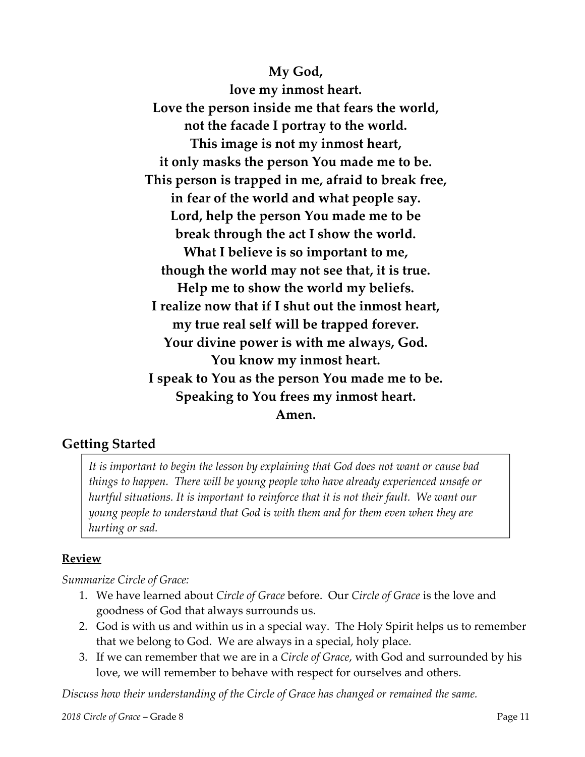**My God,**

**love my inmost heart. Love the person inside me that fears the world, not the facade I portray to the world. This image is not my inmost heart, it only masks the person You made me to be. This person is trapped in me, afraid to break free, in fear of the world and what people say. Lord, help the person You made me to be break through the act I show the world. What I believe is so important to me, though the world may not see that, it is true. Help me to show the world my beliefs. I realize now that if I shut out the inmost heart, my true real self will be trapped forever. Your divine power is with me always, God. You know my inmost heart. I speak to You as the person You made me to be. Speaking to You frees my inmost heart. Amen.**

### **Getting Started**

*It is important to begin the lesson by explaining that God does not want or cause bad things to happen. There will be young people who have already experienced unsafe or hurtful situations. It is important to reinforce that it is not their fault. We want our young people to understand that God is with them and for them even when they are hurting or sad.* 

#### **Review**

#### *Summarize Circle of Grace:*

- 1. We have learned about *Circle of Grace* before. Our *Circle of Grace* is the love and goodness of God that always surrounds us.
- 2. God is with us and within us in a special way. The Holy Spirit helps us to remember that we belong to God. We are always in a special, holy place.
- 3. If we can remember that we are in a *Circle of Grace*, with God and surrounded by his love, we will remember to behave with respect for ourselves and others.

*Discuss how their understanding of the Circle of Grace has changed or remained the same.*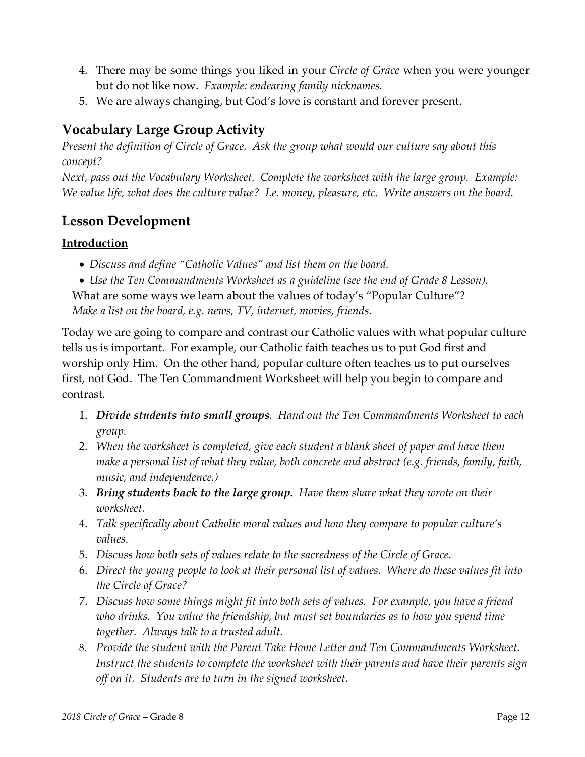- 4. There may be some things you liked in your *Circle of Grace* when you were younger but do not like now. *Example: endearing family nicknames.*
- 5. We are always changing, but God's love is constant and forever present.

## **Vocabulary Large Group Activity**

*Present the definition of Circle of Grace. Ask the group what would our culture say about this concept?*

*Next, pass out the Vocabulary Worksheet. Complete the worksheet with the large group. Example:* We value life, what does the culture value? I.e. money, pleasure, etc. Write answers on the board.

## **Lesson Development**

#### **Introduction**

- *Discuss and define "Catholic Values" and list them on the board.*
- *Use the Ten Commandments Worksheet as a guideline (see the end of Grade 8 Lesson).*

What are some ways we learn about the values of today's "Popular Culture"? *Make a list on the board, e.g. news, TV, internet, movies, friends.*

Today we are going to compare and contrast our Catholic values with what popular culture tells us is important. For example, our Catholic faith teaches us to put God first and worship only Him. On the other hand, popular culture often teaches us to put ourselves first, not God. The Ten Commandment Worksheet will help you begin to compare and contrast.

- 1. *Divide students into small groups. Hand out the Ten Commandments Worksheet to each group.*
- 2. *When the worksheet is completed, give each student a blank sheet of paper and have them make a personal list of what they value, both concrete and abstract (e.g. friends, family, faith, music, and independence.)*
- 3. *Bring students back to the large group. Have them share what they wrote on their worksheet.*
- 4. *Talk specifically about Catholic moral values and how they compare to popular culture's*  $values.$
- 5. *Discuss how both sets of values relate to the sacredness of the Circle of Grace.*
- 6. Direct the young people to look at their personal list of values. Where do these values fit into *the Circle of Grace?*
- 7. *Discuss how some things might fit into both sets of values. For example, you have a friend who drinks. You value the friendship, but must set boundaries as to how you spend time together. Always talk to a trusted adult.*
- 8. *Provide the student with the Parent Take Home Letter and Ten Commandments Worksheet. Instruct the students to complete the worksheet with their parents and have their parents sign off on it. Students are to turn in the signed worksheet.*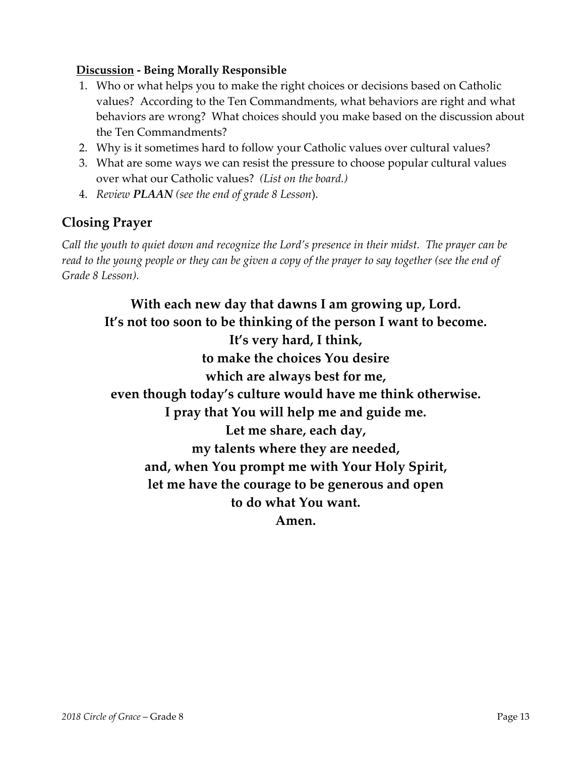#### **Discussion ‐ Being Morally Responsible**

- 1. Who or what helps you to make the right choices or decisions based on Catholic values? According to the Ten Commandments, what behaviors are right and what behaviors are wrong? What choices should you make based on the discussion about the Ten Commandments?
- 2. Why is it sometimes hard to follow your Catholic values over cultural values?
- 3. What are some ways we can resist the pressure to choose popular cultural values over what our Catholic values? *(List on the board.)*
- 4. *Review PLAAN (see the end of grade 8 Lesson*).

## **Closing Prayer**

Call the youth to quiet down and recognize the Lord's presence in their midst. The prayer can be read to the young people or they can be given a copy of the prayer to say together (see the end of *Grade 8 Lesson).*

**With each new day that dawns I am growing up, Lord. It's not too soon to be thinking of the person I want to become. It's very hard, I think, to make the choices You desire which are always best for me, even though today's culture would have me think otherwise. I pray that You will help me and guide me. Let me share, each day, my talents where they are needed, and, when You prompt me with Your Holy Spirit, let me have the courage to be generous and open to do what You want. Amen.**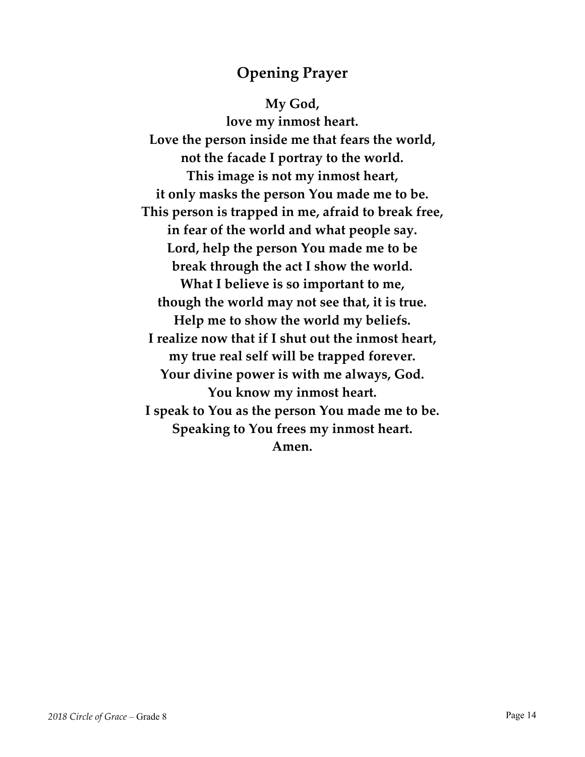## **Opening Prayer**

**My God, love my inmost heart. Love the person inside me that fears the world, not the facade I portray to the world. This image is not my inmost heart, it only masks the person You made me to be. This person is trapped in me, afraid to break free, in fear of the world and what people say. Lord, help the person You made me to be break through the act I show the world. What I believe is so important to me, though the world may not see that, it is true. Help me to show the world my beliefs. I realize now that if I shut out the inmost heart, my true real self will be trapped forever. Your divine power is with me always, God. You know my inmost heart. I speak to You as the person You made me to be. Speaking to You frees my inmost heart. Amen.**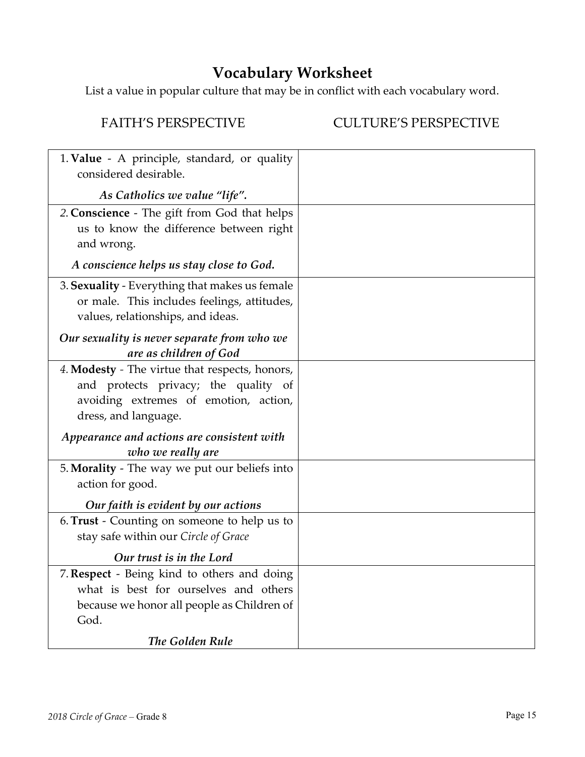## **Vocabulary Worksheet**

List a value in popular culture that may be in conflict with each vocabulary word.

### FAITH'S PERSPECTIVE CULTURE'S PERSPECTIVE

| 1. Value - A principle, standard, or quality<br>considered desirable.                                                                                   |  |
|---------------------------------------------------------------------------------------------------------------------------------------------------------|--|
| As Catholics we value "life".                                                                                                                           |  |
| 2. Conscience - The gift from God that helps<br>us to know the difference between right<br>and wrong.                                                   |  |
| A conscience helps us stay close to God.                                                                                                                |  |
| 3. Sexuality - Everything that makes us female<br>or male. This includes feelings, attitudes,<br>values, relationships, and ideas.                      |  |
| Our sexuality is never separate from who we<br>are as children of God                                                                                   |  |
| 4. Modesty - The virtue that respects, honors,<br>and protects privacy; the quality of<br>avoiding extremes of emotion, action,<br>dress, and language. |  |
| Appearance and actions are consistent with<br>who we really are                                                                                         |  |
| 5. Morality - The way we put our beliefs into<br>action for good.                                                                                       |  |
| Our faith is evident by our actions                                                                                                                     |  |
| 6. Trust - Counting on someone to help us to<br>stay safe within our Circle of Grace                                                                    |  |
| Our trust is in the Lord                                                                                                                                |  |
| 7. Respect - Being kind to others and doing<br>what is best for ourselves and others<br>because we honor all people as Children of<br>God.              |  |
| The Golden Rule                                                                                                                                         |  |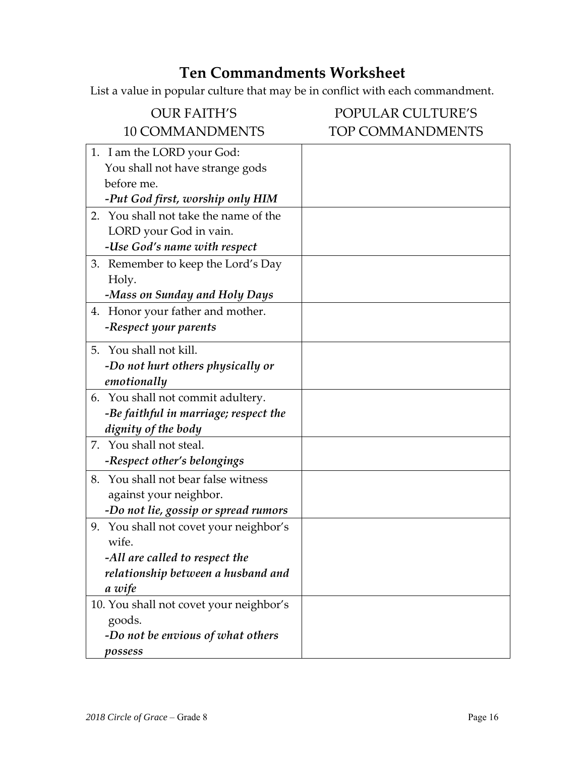## **Ten Commandments Worksheet**

List a value in popular culture that may be in conflict with each commandment.

| <b>OUR FAITH'S</b>                      | <b>POPULAR CULTURE'S</b> |
|-----------------------------------------|--------------------------|
| <b>10 COMMANDMENTS</b>                  | <b>TOP COMMANDMENTS</b>  |
| 1. I am the LORD your God:              |                          |
| You shall not have strange gods         |                          |
| before me.                              |                          |
| -Put God first, worship only HIM        |                          |
| 2. You shall not take the name of the   |                          |
| LORD your God in vain.                  |                          |
| -Use God's name with respect            |                          |
| 3. Remember to keep the Lord's Day      |                          |
| Holy.                                   |                          |
| -Mass on Sunday and Holy Days           |                          |
| 4. Honor your father and mother.        |                          |
| -Respect your parents                   |                          |
| 5. You shall not kill.                  |                          |
| -Do not hurt others physically or       |                          |
| emotionally                             |                          |
| 6. You shall not commit adultery.       |                          |
| -Be faithful in marriage; respect the   |                          |
| dignity of the body                     |                          |
| 7. You shall not steal.                 |                          |
| -Respect other's belongings             |                          |
| 8. You shall not bear false witness     |                          |
| against your neighbor.                  |                          |
| -Do not lie, gossip or spread rumors    |                          |
| 9. You shall not covet your neighbor's  |                          |
| wife.                                   |                          |
| -All are called to respect the          |                          |
| relationship between a husband and      |                          |
| a wife                                  |                          |
| 10. You shall not covet your neighbor's |                          |
| goods.                                  |                          |
| -Do not be envious of what others       |                          |
| possess                                 |                          |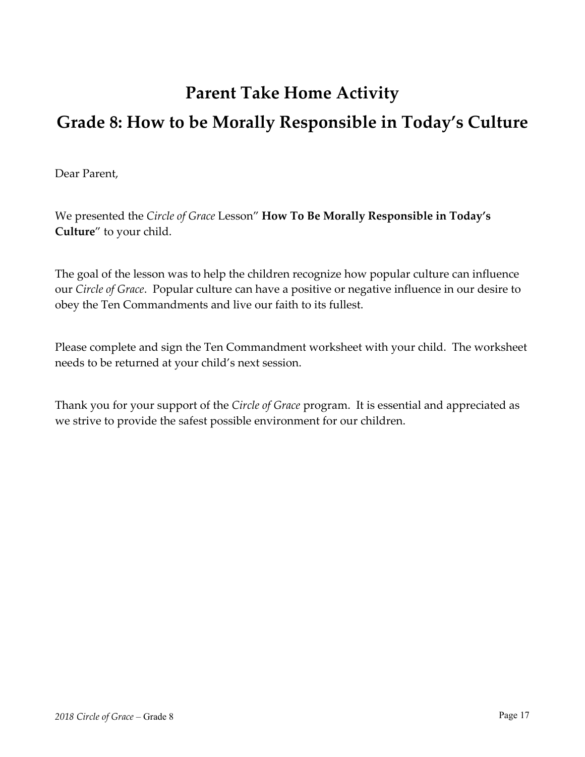## **Parent Take Home Activity Grade 8: How to be Morally Responsible in Today's Culture**

Dear Parent,

We presented the *Circle of Grace* Lesson" **How To Be Morally Responsible in Today's Culture**" to your child.

The goal of the lesson was to help the children recognize how popular culture can influence our *Circle of Grace*. Popular culture can have a positive or negative influence in our desire to obey the Ten Commandments and live our faith to its fullest.

Please complete and sign the Ten Commandment worksheet with your child. The worksheet needs to be returned at your child's next session.

Thank you for your support of the *Circle of Grace* program. It is essential and appreciated as we strive to provide the safest possible environment for our children.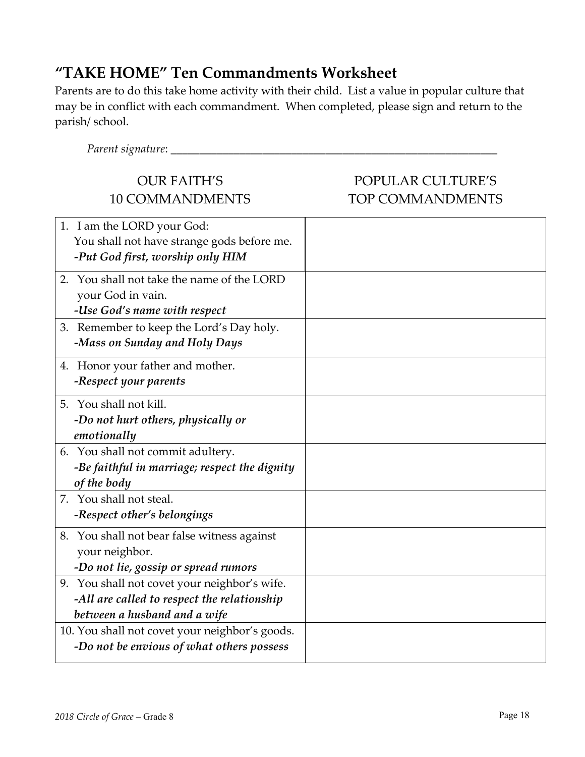## **"TAKE HOME" Ten Commandments Worksheet**

Parents are to do this take home activity with their child. List a value in popular culture that may be in conflict with each commandment. When completed, please sign and return to the parish/ school.

| Parent signature: _______                                                                                                   |                                              |
|-----------------------------------------------------------------------------------------------------------------------------|----------------------------------------------|
| <b>OUR FAITH'S</b><br><b>10 COMMANDMENTS</b>                                                                                | POPULAR CULTURE'S<br><b>TOP COMMANDMENTS</b> |
| 1. I am the LORD your God:<br>You shall not have strange gods before me.<br>-Put God first, worship only HIM                |                                              |
| 2. You shall not take the name of the LORD<br>your God in vain.<br>-Use God's name with respect                             |                                              |
| 3. Remember to keep the Lord's Day holy.<br>-Mass on Sunday and Holy Days                                                   |                                              |
| 4. Honor your father and mother.<br>-Respect your parents                                                                   |                                              |
| 5. You shall not kill.<br>-Do not hurt others, physically or<br>emotionally                                                 |                                              |
| 6. You shall not commit adultery.<br>-Be faithful in marriage; respect the dignity<br>of the body                           |                                              |
| 7. You shall not steal.<br>-Respect other's belongings                                                                      |                                              |
| 8. You shall not bear false witness against<br>your neighbor.<br>-Do not lie, gossip or spread rumors                       |                                              |
| 9. You shall not covet your neighbor's wife.<br>-All are called to respect the relationship<br>between a husband and a wife |                                              |
| 10. You shall not covet your neighbor's goods.<br>-Do not be envious of what others possess                                 |                                              |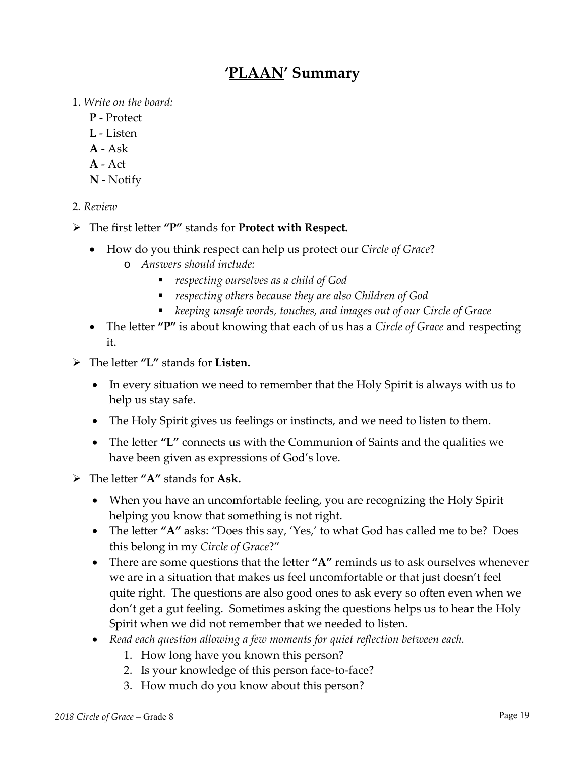## **'PLAAN' Summary**

1. *Write on the board:*

- **P** ‐ Protect
- **L** ‐ Listen
- **A** ‐ Ask
- **A** ‐ Act
- **N** ‐ Notify

2*. Review*

- The first letter **"P"** stands for **Protect with Respect.**
	- How do you think respect can help us protect our *Circle of Grace*?
		- o *Answers should include:*
			- *respecting ourselves as a child of God*
			- *respecting others because they are also Children of God*
			- *keeping unsafe words, touches, and images out of our Circle of Grace*
	- The letter **"P"** is about knowing that each of us has a *Circle of Grace* and respecting it.
- The letter **"L"** stands for **Listen.**
	- In every situation we need to remember that the Holy Spirit is always with us to help us stay safe.
	- The Holy Spirit gives us feelings or instincts, and we need to listen to them.
	- The letter **"L"** connects us with the Communion of Saints and the qualities we have been given as expressions of God's love.
- The letter **"A"** stands for **Ask.** 
	- When you have an uncomfortable feeling, you are recognizing the Holy Spirit helping you know that something is not right.
	- The letter "A" asks: "Does this say, 'Yes,' to what God has called me to be? Does this belong in my *Circle of Grace*?"
	- There are some questions that the letter **"A"** reminds us to ask ourselves whenever we are in a situation that makes us feel uncomfortable or that just doesn't feel quite right. The questions are also good ones to ask every so often even when we don't get a gut feeling. Sometimes asking the questions helps us to hear the Holy Spirit when we did not remember that we needed to listen.
	- *Read each question allowing a few moments for quiet reflection between each.*
		- 1. How long have you known this person?
		- 2. Is your knowledge of this person face-to-face?
		- 3. How much do you know about this person?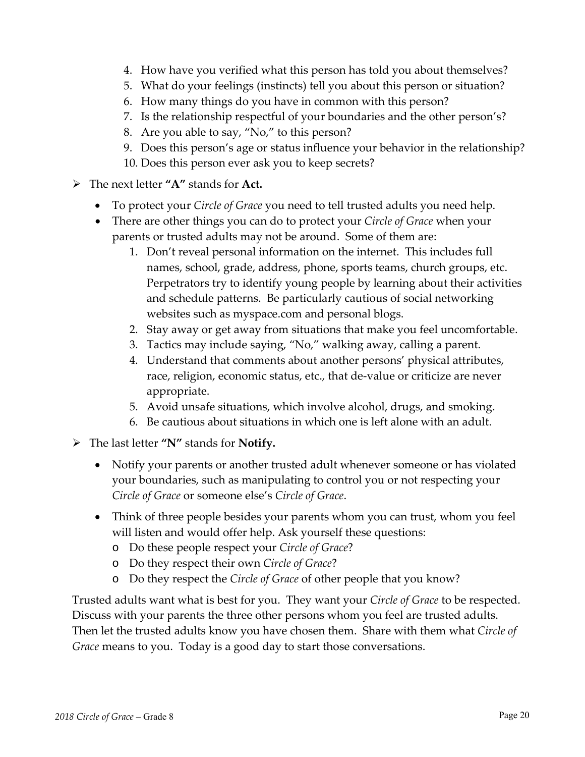- 4. How have you verified what this person has told you about themselves?
- 5. What do your feelings (instincts) tell you about this person or situation?
- 6. How many things do you have in common with this person?
- 7. Is the relationship respectful of your boundaries and the other person's?
- 8. Are you able to say, "No," to this person?
- 9. Does this person's age or status influence your behavior in the relationship? 10. Does this person ever ask you to keep secrets?
- The next letter **"A"** stands for **Act.**
	- To protect your *Circle of Grace* you need to tell trusted adults you need help.
	- There are other things you can do to protect your *Circle of Grace* when your parents or trusted adults may not be around. Some of them are:
		- 1. Don't reveal personal information on the internet. This includes full names, school, grade, address, phone, sports teams, church groups, etc. Perpetrators try to identify young people by learning about their activities and schedule patterns. Be particularly cautious of social networking websites such as myspace.com and personal blogs.
		- 2. Stay away or get away from situations that make you feel uncomfortable.
		- 3. Tactics may include saying, "No," walking away, calling a parent.
		- 4. Understand that comments about another persons' physical attributes, race, religion, economic status, etc., that de‐value or criticize are never appropriate.
		- 5. Avoid unsafe situations, which involve alcohol, drugs, and smoking.
		- 6. Be cautious about situations in which one is left alone with an adult.
- The last letter **"N"** stands for **Notify.**
	- Notify your parents or another trusted adult whenever someone or has violated your boundaries, such as manipulating to control you or not respecting your *Circle of Grace* or someone else's *Circle of Grace*.
	- Think of three people besides your parents whom you can trust, whom you feel will listen and would offer help. Ask yourself these questions:
		- o Do these people respect your *Circle of Grace*?
		- o Do they respect their own *Circle of Grace*?
		- o Do they respect the *Circle of Grace* of other people that you know?

Trusted adults want what is best for you. They want your *Circle of Grace* to be respected. Discuss with your parents the three other persons whom you feel are trusted adults. Then let the trusted adults know you have chosen them. Share with them what *Circle of Grace* means to you. Today is a good day to start those conversations.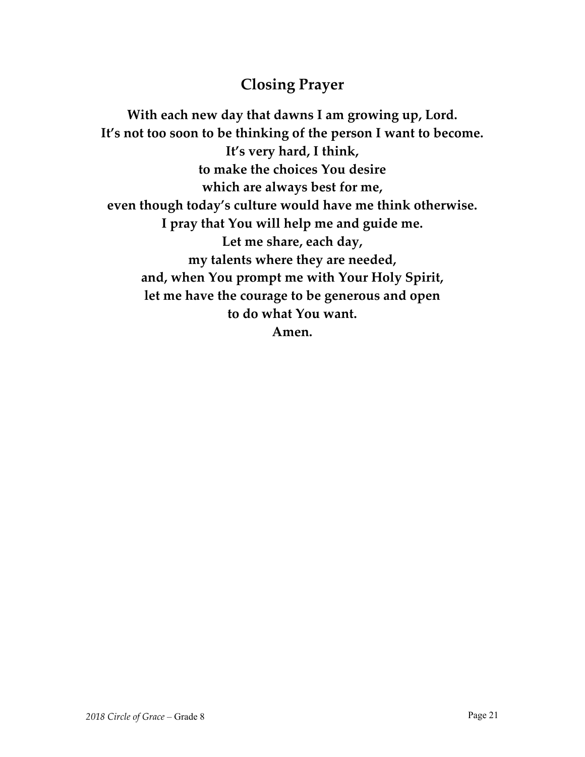## **Closing Prayer**

**With each new day that dawns I am growing up, Lord. It's not too soon to be thinking of the person I want to become. It's very hard, I think, to make the choices You desire which are always best for me, even though today's culture would have me think otherwise. I pray that You will help me and guide me. Let me share, each day, my talents where they are needed, and, when You prompt me with Your Holy Spirit, let me have the courage to be generous and open to do what You want. Amen.**